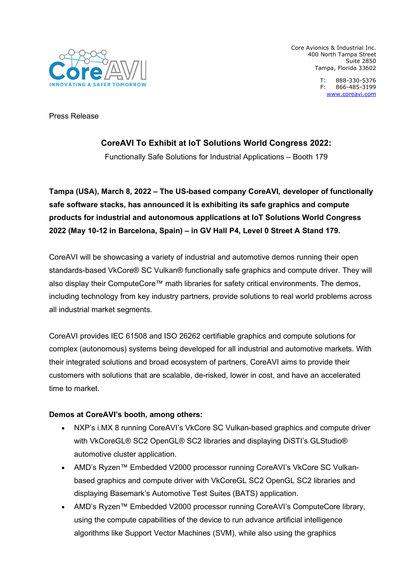

Core Avionics & Industrial Inc. 400 North Tampa Street Suite 2850 Tampa, Florida 33602

> T: 888-330-5376 F: 866-485-3199 [www.coreavi.com](http://www.coreavi.com/)

Press Release

# **CoreAVI To Exhibit at IoT Solutions World Congress 2022:**

Functionally Safe Solutions for Industrial Applications – Booth 179

**Tampa (USA), March 8, 2022 – The US-based company CoreAVI, developer of functionally safe software stacks, has announced it is exhibiting its safe graphics and compute products for industrial and autonomous applications at IoT Solutions World Congress 2022 (May 10-12 in Barcelona, Spain) – in GV Hall P4, Level 0 Street A Stand 179.**

CoreAVI will be showcasing a variety of industrial and automotive demos running their open standards-based VkCore® SC Vulkan® functionally safe graphics and compute driver. They will also display their ComputeCore™ math libraries for safety critical environments. The demos, including technology from key industry partners, provide solutions to real world problems across all industrial market segments.

CoreAVI provides IEC 61508 and ISO 26262 certifiable graphics and compute solutions for complex (autonomous) systems being developed for all industrial and automotive markets. With their integrated solutions and broad ecosystem of partners, CoreAVI aims to provide their customers with solutions that are scalable, de-risked, lower in cost, and have an accelerated time to market.

## **Demos at CoreAVI's booth, among others:**

- NXP's i.MX 8 running CoreAVI's VkCore SC Vulkan-based graphics and compute driver with VkCoreGL® SC2 OpenGL® SC2 libraries and displaying DiSTI's GLStudio® automotive cluster application.
- AMD's Ryzen™ Embedded V2000 processor running CoreAVI's VkCore SC Vulkanbased graphics and compute driver with VkCoreGL SC2 OpenGL SC2 libraries and displaying Basemark's Automotive Test Suites (BATS) application.
- AMD's Ryzen<sup>™</sup> Embedded V2000 processor running CoreAVI's ComputeCore library, using the compute capabilities of the device to run advance artificial intelligence algorithms like Support Vector Machines (SVM), while also using the graphics